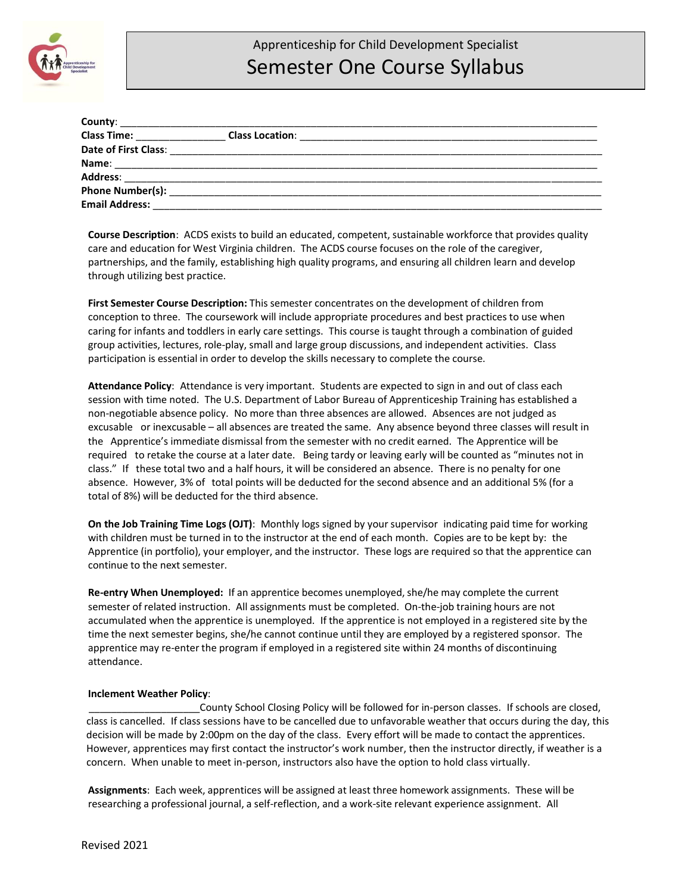

| Class Time: _________________ |  |
|-------------------------------|--|
|                               |  |
| Name:                         |  |
|                               |  |
|                               |  |
| <b>Email Address:</b>         |  |

**Course Description**: ACDS exists to build an educated, competent, sustainable workforce that provides quality care and education for West Virginia children. The ACDS course focuses on the role of the caregiver, partnerships, and the family, establishing high quality programs, and ensuring all children learn and develop through utilizing best practice.

**First Semester Course Description:** This semester concentrates on the development of children from conception to three. The coursework will include appropriate procedures and best practices to use when caring for infants and toddlers in early care settings. This course is taught through a combination of guided group activities, lectures, role-play, small and large group discussions, and independent activities. Class participation is essential in order to develop the skills necessary to complete the course.

**Attendance Policy**: Attendance is very important. Students are expected to sign in and out of class each session with time noted. The U.S. Department of Labor Bureau of Apprenticeship Training has established a non-negotiable absence policy. No more than three absences are allowed. Absences are not judged as excusable or inexcusable – all absences are treated the same. Any absence beyond three classes will result in the Apprentice's immediate dismissal from the semester with no credit earned. The Apprentice will be required to retake the course at a later date. Being tardy or leaving early will be counted as "minutes not in class." If these total two and a half hours, it will be considered an absence. There is no penalty for one absence. However, 3% of total points will be deducted for the second absence and an additional 5% (for a total of 8%) will be deducted for the third absence.

**On the Job Training Time Logs (OJT)**: Monthly logs signed by your supervisor indicating paid time for working with children must be turned in to the instructor at the end of each month. Copies are to be kept by: the Apprentice (in portfolio), your employer, and the instructor. These logs are required so that the apprentice can continue to the next semester.

**Re-entry When Unemployed:** If an apprentice becomes unemployed, she/he may complete the current semester of related instruction. All assignments must be completed. On-the-job training hours are not accumulated when the apprentice is unemployed. If the apprentice is not employed in a registered site by the time the next semester begins, she/he cannot continue until they are employed by a registered sponsor. The apprentice may re-enter the program if employed in a registered site within 24 months of discontinuing attendance.

## **Inclement Weather Policy**:

 \_\_\_\_\_\_\_\_\_\_\_\_\_\_\_\_\_\_\_\_County School Closing Policy will be followed for in-person classes. If schools are closed, class is cancelled. If class sessions have to be cancelled due to unfavorable weather that occurs during the day, this decision will be made by 2:00pm on the day of the class. Every effort will be made to contact the apprentices. However, apprentices may first contact the instructor's work number, then the instructor directly, if weather is a concern. When unable to meet in-person, instructors also have the option to hold class virtually.

**Assignments**: Each week, apprentices will be assigned at least three homework assignments. These will be researching a professional journal, a self-reflection, and a work-site relevant experience assignment. All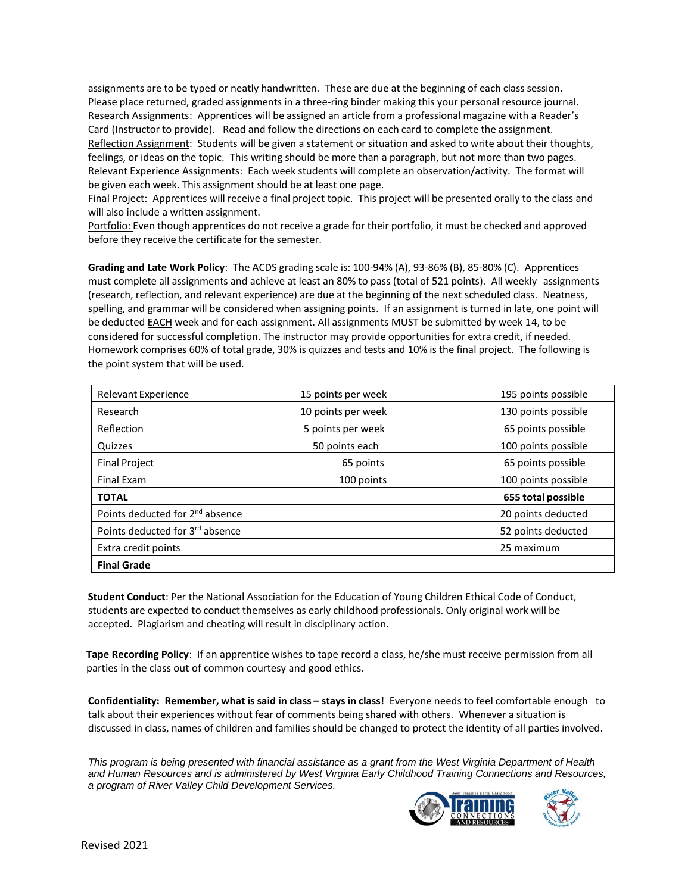assignments are to be typed or neatly handwritten. These are due at the beginning of each class session. Please place returned, graded assignments in a three-ring binder making this your personal resource journal. Research Assignments: Apprentices will be assigned an article from a professional magazine with a Reader's Card (Instructor to provide). Read and follow the directions on each card to complete the assignment. Reflection Assignment: Students will be given a statement or situation and asked to write about their thoughts, feelings, or ideas on the topic. This writing should be more than a paragraph, but not more than two pages. Relevant Experience Assignments: Each week students will complete an observation/activity. The format will be given each week. This assignment should be at least one page.

Final Project: Apprentices will receive a final project topic. This project will be presented orally to the class and will also include a written assignment.

Portfolio: Even though apprentices do not receive a grade for their portfolio, it must be checked and approved before they receive the certificate for the semester.

**Grading and Late Work Policy**: The ACDS grading scale is: 100-94% (A), 93-86% (B), 85-80% (C). Apprentices must complete all assignments and achieve at least an 80% to pass (total of 521 points). All weekly assignments (research, reflection, and relevant experience) are due at the beginning of the next scheduled class. Neatness, spelling, and grammar will be considered when assigning points. If an assignment is turned in late, one point will be deducted EACH week and for each assignment. All assignments MUST be submitted by week 14, to be considered for successful completion. The instructor may provide opportunities for extra credit, if needed. Homework comprises 60% of total grade, 30% is quizzes and tests and 10% is the final project. The following is the point system that will be used.

| <b>Relevant Experience</b>                  | 15 points per week | 195 points possible |
|---------------------------------------------|--------------------|---------------------|
| Research                                    | 10 points per week | 130 points possible |
| Reflection                                  | 5 points per week  | 65 points possible  |
| Quizzes                                     | 50 points each     | 100 points possible |
| <b>Final Project</b>                        | 65 points          | 65 points possible  |
| Final Exam                                  | 100 points         | 100 points possible |
| <b>TOTAL</b>                                |                    | 655 total possible  |
| Points deducted for 2 <sup>nd</sup> absence |                    | 20 points deducted  |
| Points deducted for 3rd absence             |                    | 52 points deducted  |
| Extra credit points                         | 25 maximum         |                     |
| <b>Final Grade</b>                          |                    |                     |

**Student Conduct**: Per the National Association for the Education of Young Children Ethical Code of Conduct, students are expected to conduct themselves as early childhood professionals. Only original work will be accepted. Plagiarism and cheating will result in disciplinary action.

 **Tape Recording Policy**: If an apprentice wishes to tape record a class, he/she must receive permission from all parties in the class out of common courtesy and good ethics.

**Confidentiality: Remember, what is said in class – stays in class!** Everyone needs to feel comfortable enough to talk about their experiences without fear of comments being shared with others. Whenever a situation is discussed in class, names of children and families should be changed to protect the identity of all parties involved.

*This program is being presented with financial assistance as a grant from the West Virginia Department of Health and Human Resources and is administered by West Virginia Early Childhood Training Connections and Resources, a program of River Valley Child Development Services.*